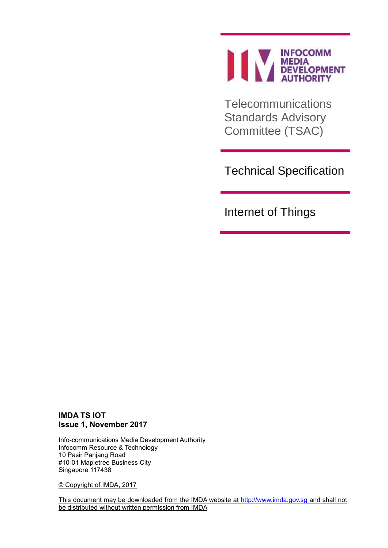

**Telecommunications** Standards Advisory Committee (TSAC)

Technical Specification

Internet of Things

## **IMDA TS IOT Issue 1, November 2017**

Info-communications Media Development Authority Infocomm Resource & Technology 10 Pasir Panjang Road #10-01 Mapletree Business City Singapore 117438

© Copyright of IMDA, 2017

This document may be downloaded from the IMDA website at [http://www.imda.gov.sg](http://www.imda.gov.sg/) and shall not be distributed without written permission from IMDA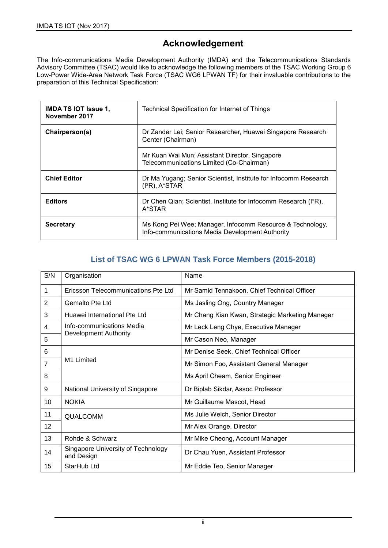# **Acknowledgement**

The Info-communications Media Development Authority (IMDA) and the Telecommunications Standards Advisory Committee (TSAC) would like to acknowledge the following members of the TSAC Working Group 6 Low-Power Wide-Area Network Task Force (TSAC WG6 LPWAN TF) for their invaluable contributions to the preparation of this Technical Specification:

| <b>IMDA TS IOT Issue 1,</b><br>November 2017 | Technical Specification for Internet of Things                                                               |
|----------------------------------------------|--------------------------------------------------------------------------------------------------------------|
| Chairperson(s)                               | Dr Zander Lei; Senior Researcher, Huawei Singapore Research<br>Center (Chairman)                             |
|                                              | Mr Kuan Wai Mun; Assistant Director, Singapore<br>Telecommunications Limited (Co-Chairman)                   |
| <b>Chief Editor</b>                          | Dr Ma Yugang; Senior Scientist, Institute for Infocomm Research<br>$(I^2R)$ , A*STAR                         |
| <b>Editors</b>                               | Dr Chen Qian; Scientist, Institute for Infocomm Research (I <sup>2</sup> R),<br>A*STAR                       |
| <b>Secretary</b>                             | Ms Kong Pei Wee; Manager, Infocomm Resource & Technology,<br>Info-communications Media Development Authority |

# **List of TSAC WG 6 LPWAN Task Force Members (2015-2018)**

| S/N            | Organisation                                     | Name                                            |  |
|----------------|--------------------------------------------------|-------------------------------------------------|--|
| 1              | Ericsson Telecommunications Pte Ltd              | Mr Samid Tennakoon, Chief Technical Officer     |  |
| 2              | Gemalto Pte Ltd                                  | Ms Jasling Ong, Country Manager                 |  |
| 3              | Huawei International Pte Ltd                     | Mr Chang Kian Kwan, Strategic Marketing Manager |  |
| 4              | Info-communications Media                        | Mr Leck Leng Chye, Executive Manager            |  |
| 5              | Development Authority                            | Mr Cason Neo, Manager                           |  |
| 6              |                                                  | Mr Denise Seek, Chief Technical Officer         |  |
| $\overline{7}$ | M1 Limited                                       | Mr Simon Foo, Assistant General Manager         |  |
| 8              |                                                  | Ms April Cheam, Senior Engineer                 |  |
| 9              | National University of Singapore                 | Dr Biplab Sikdar, Assoc Professor               |  |
| 10             | <b>NOKIA</b>                                     | Mr Guillaume Mascot, Head                       |  |
| 11             | <b>QUALCOMM</b>                                  | Ms Julie Welch, Senior Director                 |  |
| 12             |                                                  | Mr Alex Orange, Director                        |  |
| 13             | Rohde & Schwarz                                  | Mr Mike Cheong, Account Manager                 |  |
| 14             | Singapore University of Technology<br>and Design | Dr Chau Yuen, Assistant Professor               |  |
| 15             | StarHub Ltd                                      | Mr Eddie Teo, Senior Manager                    |  |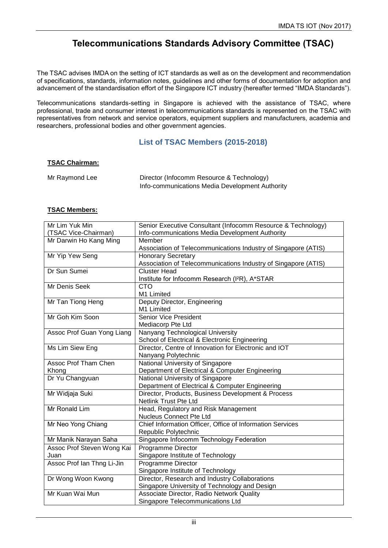# **Telecommunications Standards Advisory Committee (TSAC)**

The TSAC advises IMDA on the setting of ICT standards as well as on the development and recommendation of specifications, standards, information notes, guidelines and other forms of documentation for adoption and advancement of the standardisation effort of the Singapore ICT industry (hereafter termed "IMDA Standards").

Telecommunications standards-setting in Singapore is achieved with the assistance of TSAC, where professional, trade and consumer interest in telecommunications standards is represented on the TSAC with representatives from network and service operators, equipment suppliers and manufacturers, academia and researchers, professional bodies and other government agencies.

## **List of TSAC Members (2015-2018)**

#### **TSAC Chairman:**

| Mr Raymond Lee | Director (Infocomm Resource & Technology)       |  |
|----------------|-------------------------------------------------|--|
|                | Info-communications Media Development Authority |  |

#### **TSAC Members:**

| Mr Lim Yuk Min             | Senior Executive Consultant (Infocomm Resource & Technology)   |
|----------------------------|----------------------------------------------------------------|
| (TSAC Vice-Chairman)       | Info-communications Media Development Authority                |
| Mr Darwin Ho Kang Ming     | Member                                                         |
|                            | Association of Telecommunications Industry of Singapore (ATIS) |
| Mr Yip Yew Seng            | <b>Honorary Secretary</b>                                      |
|                            | Association of Telecommunications Industry of Singapore (ATIS) |
| Dr Sun Sumei               | <b>Cluster Head</b>                                            |
|                            | Institute for Infocomm Research (I <sup>2</sup> R), A*STAR     |
| Mr Denis Seek              | CTO                                                            |
|                            | M1 Limited                                                     |
| Mr Tan Tiong Heng          | Deputy Director, Engineering                                   |
|                            | M1 Limited                                                     |
| Mr Goh Kim Soon            | <b>Senior Vice President</b>                                   |
|                            | Mediacorp Pte Ltd                                              |
| Assoc Prof Guan Yong Liang | Nanyang Technological University                               |
|                            | School of Electrical & Electronic Engineering                  |
| Ms Lim Siew Eng            | Director, Centre of Innovation for Electronic and IOT          |
|                            | Nanyang Polytechnic                                            |
| Assoc Prof Tham Chen       | National University of Singapore                               |
| Khong                      | Department of Electrical & Computer Engineering                |
| Dr Yu Changyuan            | National University of Singapore                               |
|                            | Department of Electrical & Computer Engineering                |
| Mr Widjaja Suki            | Director, Products, Business Development & Process             |
|                            | <b>Netlink Trust Pte Ltd</b>                                   |
| Mr Ronald Lim              | Head, Regulatory and Risk Management                           |
|                            | <b>Nucleus Connect Pte Ltd</b>                                 |
| Mr Neo Yong Chiang         | Chief Information Officer, Office of Information Services      |
|                            | Republic Polytechnic                                           |
| Mr Manik Narayan Saha      | Singapore Infocomm Technology Federation                       |
| Assoc Prof Steven Wong Kai | <b>Programme Director</b>                                      |
| Juan                       | Singapore Institute of Technology                              |
| Assoc Prof Ian Thng Li-Jin | Programme Director                                             |
|                            | Singapore Institute of Technology                              |
| Dr Wong Woon Kwong         | Director, Research and Industry Collaborations                 |
|                            | Singapore University of Technology and Design                  |
| Mr Kuan Wai Mun            | Associate Director, Radio Network Quality                      |
|                            | Singapore Telecommunications Ltd                               |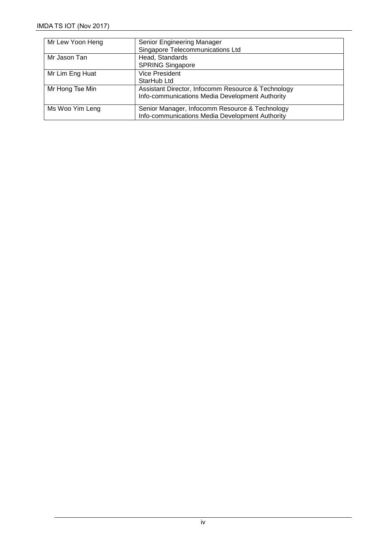| Mr Lew Yoon Heng | Senior Engineering Manager                                                                        |
|------------------|---------------------------------------------------------------------------------------------------|
|                  | Singapore Telecommunications Ltd                                                                  |
| Mr Jason Tan     | Head, Standards                                                                                   |
|                  | <b>SPRING Singapore</b>                                                                           |
| Mr Lim Eng Huat  | <b>Vice President</b>                                                                             |
|                  | StarHub Ltd                                                                                       |
| Mr Hong Tse Min  | Assistant Director, Infocomm Resource & Technology                                                |
|                  | Info-communications Media Development Authority                                                   |
| Ms Woo Yim Leng  | Senior Manager, Infocomm Resource & Technology<br>Info-communications Media Development Authority |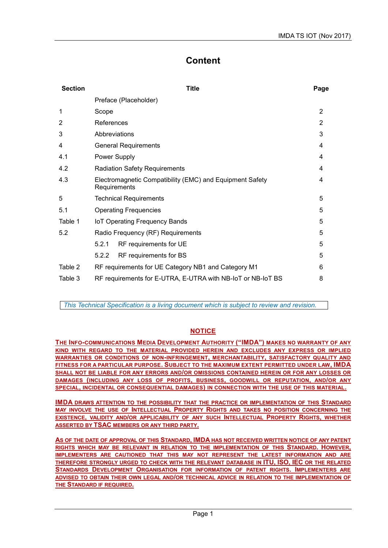# **Content**

| <b>Section</b> | Title                                                                         | Page           |  |
|----------------|-------------------------------------------------------------------------------|----------------|--|
|                | Preface (Placeholder)                                                         |                |  |
| 1              | Scope                                                                         | 2              |  |
| 2              | References                                                                    | $\overline{2}$ |  |
| 3              | Abbreviations                                                                 | 3              |  |
| 4              | <b>General Requirements</b>                                                   | 4              |  |
| 4.1            | Power Supply                                                                  | 4              |  |
| 4.2            | <b>Radiation Safety Requirements</b>                                          | 4              |  |
| 4.3            | Electromagnetic Compatibility (EMC) and Equipment Safety<br>4<br>Requirements |                |  |
| 5              | <b>Technical Requirements</b>                                                 | 5              |  |
| 5.1            | <b>Operating Frequencies</b>                                                  | 5              |  |
| Table 1        | <b>IoT Operating Frequency Bands</b>                                          | 5              |  |
| 5.2            | Radio Frequency (RF) Requirements                                             | 5              |  |
|                | 5.2.1<br>RF requirements for UE                                               | 5              |  |
|                | RF requirements for BS<br>5.2.2                                               | 5              |  |
| Table 2        | RF requirements for UE Category NB1 and Category M1                           | 6              |  |
| Table 3        | RF requirements for E-UTRA, E-UTRA with NB-IoT or NB-IoT BS                   | 8              |  |

*This Technical Specification is a living document which is subject to review and revision.*

## **NOTICE**

**THE INFO-COMMUNICATIONS MEDIA DEVELOPMENT AUTHORITY ("IMDA") MAKES NO WARRANTY OF ANY KIND WITH REGARD TO THE MATERIAL PROVIDED HEREIN AND EXCLUDES ANY EXPRESS OR IMPLIED WARRANTIES OR CONDITIONS OF NON-INFRINGEMENT, MERCHANTABILITY, SATISFACTORY QUALITY AND FITNESS FOR A PARTICULAR PURPOSE. SUBJECT TO THE MAXIMUM EXTENT PERMITTED UNDER LAW, IMDA SHALL NOT BE LIABLE FOR ANY ERRORS AND/OR OMISSIONS CONTAINED HEREIN OR FOR ANY LOSSES OR DAMAGES (INCLUDING ANY LOSS OF PROFITS, BUSINESS, GOODWILL OR REPUTATION, AND/OR ANY SPECIAL, INCIDENTAL OR CONSEQUENTIAL DAMAGES) IN CONNECTION WITH THE USE OF THIS MATERIAL.**

**IMDA DRAWS ATTENTION TO THE POSSIBILITY THAT THE PRACTICE OR IMPLEMENTATION OF THIS STANDARD MAY INVOLVE THE USE OF INTELLECTUAL PROPERTY RIGHTS AND TAKES NO POSITION CONCERNING THE EXISTENCE, VALIDITY AND/OR APPLICABILITY OF ANY SUCH INTELLECTUAL PROPERTY RIGHTS, WHETHER ASSERTED BY TSAC MEMBERS OR ANY THIRD PARTY.**

**AS OF THE DATE OF APPROVAL OF THIS STANDARD, IMDA HAS NOT RECEIVED WRITTEN NOTICE OF ANY PATENT RIGHTS WHICH MAY BE RELEVANT IN RELATION TO THE IMPLEMENTATION OF THIS STANDARD. HOWEVER, IMPLEMENTERS ARE CAUTIONED THAT THIS MAY NOT REPRESENT THE LATEST INFORMATION AND ARE THEREFORE STRONGLY URGED TO CHECK WITH THE RELEVANT DATABASE IN ITU, ISO, IEC OR THE RELATED STANDARDS DEVELOPMENT ORGANISATION FOR INFORMATION OF PATENT RIGHTS. IMPLEMENTERS ARE ADVISED TO OBTAIN THEIR OWN LEGAL AND/OR TECHNICAL ADVICE IN RELATION TO THE IMPLEMENTATION OF THE STANDARD IF REQUIRED.**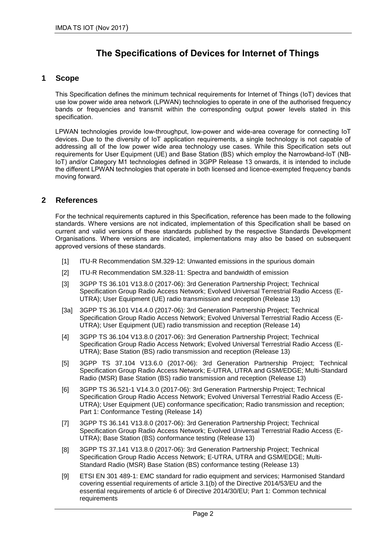# **The Specifications of Devices for Internet of Things**

### **1 Scope**

This Specification defines the minimum technical requirements for Internet of Things (IoT) devices that use low power wide area network (LPWAN) technologies to operate in one of the authorised frequency bands or frequencies and transmit within the corresponding output power levels stated in this specification.

LPWAN technologies provide low-throughput, low-power and wide-area coverage for connecting IoT devices. Due to the diversity of IoT application requirements, a single technology is not capable of addressing all of the low power wide area technology use cases. While this Specification sets out requirements for User Equipment (UE) and Base Station (BS) which employ the Narrowband-IoT (NB-IoT) and/or Category M1 technologies defined in 3GPP Release 13 onwards, it is intended to include the different LPWAN technologies that operate in both licensed and licence-exempted frequency bands moving forward.

### **2 References**

For the technical requirements captured in this Specification, reference has been made to the following standards. Where versions are not indicated, implementation of this Specification shall be based on current and valid versions of these standards published by the respective Standards Development Organisations. Where versions are indicated, implementations may also be based on subsequent approved versions of these standards.

- [1] ITU-R Recommendation SM.329-12: Unwanted emissions in the spurious domain
- [2] ITU-R Recommendation SM.328-11: Spectra and bandwidth of emission
- [3] 3GPP TS 36.101 V13.8.0 (2017-06): 3rd Generation Partnership Project; Technical Specification Group Radio Access Network; Evolved Universal Terrestrial Radio Access (E-UTRA); User Equipment (UE) radio transmission and reception (Release 13)
- [3a] 3GPP TS 36.101 V14.4.0 (2017-06): 3rd Generation Partnership Project; Technical Specification Group Radio Access Network; Evolved Universal Terrestrial Radio Access (E-UTRA); User Equipment (UE) radio transmission and reception (Release 14)
- [4] 3GPP TS 36.104 V13.8.0 (2017-06): 3rd Generation Partnership Project; Technical Specification Group Radio Access Network; Evolved Universal Terrestrial Radio Access (E-UTRA); Base Station (BS) radio transmission and reception (Release 13)
- [5] 3GPP TS 37.104 V13.6.0 (2017-06): 3rd Generation Partnership Project; Technical Specification Group Radio Access Network; E-UTRA, UTRA and GSM/EDGE; Multi-Standard Radio (MSR) Base Station (BS) radio transmission and reception (Release 13)
- [6] 3GPP TS 36.521-1 V14.3.0 (2017-06): 3rd Generation Partnership Project; Technical Specification Group Radio Access Network; Evolved Universal Terrestrial Radio Access (E-UTRA); User Equipment (UE) conformance specification; Radio transmission and reception; Part 1: Conformance Testing (Release 14)
- [7] 3GPP TS 36.141 V13.8.0 (2017-06): 3rd Generation Partnership Project; Technical Specification Group Radio Access Network; Evolved Universal Terrestrial Radio Access (E-UTRA); Base Station (BS) conformance testing (Release 13)
- [8] 3GPP TS 37.141 V13.8.0 (2017-06): 3rd Generation Partnership Project; Technical Specification Group Radio Access Network; E-UTRA, UTRA and GSM/EDGE; Multi-Standard Radio (MSR) Base Station (BS) conformance testing (Release 13)
- [9] ETSI EN 301 489-1: EMC standard for radio equipment and services; Harmonised Standard covering essential requirements of article 3.1(b) of the Directive 2014/53/EU and the essential requirements of article 6 of Directive 2014/30/EU; Part 1: Common technical requirements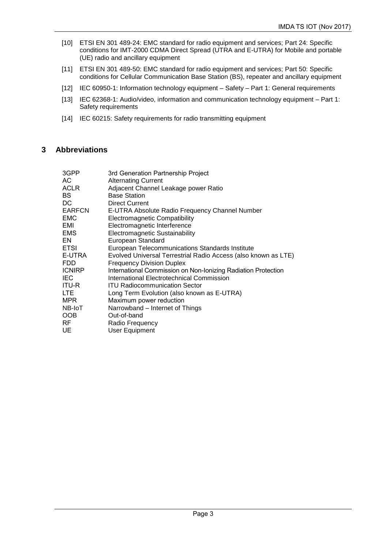- [10] ETSI EN 301 489-24: EMC standard for radio equipment and services; Part 24: Specific conditions for IMT-2000 CDMA Direct Spread (UTRA and E-UTRA) for Mobile and portable (UE) radio and ancillary equipment
- [11] ETSI EN 301 489-50: EMC standard for radio equipment and services; Part 50: Specific conditions for Cellular Communication Base Station (BS), repeater and ancillary equipment
- [12] IEC 60950-1: Information technology equipment Safety Part 1: General requirements
- [13] IEC 62368-1: Audio/video, information and communication technology equipment Part 1: Safety requirements
- [14] IEC 60215: Safety requirements for radio transmitting equipment

### **3 Abbreviations**

| 3GPP          | 3rd Generation Partnership Project                             |
|---------------|----------------------------------------------------------------|
| АC            | <b>Alternating Current</b>                                     |
| <b>ACLR</b>   | Adjacent Channel Leakage power Ratio                           |
| <b>BS</b>     | <b>Base Station</b>                                            |
| DC            | <b>Direct Current</b>                                          |
| <b>EARFCN</b> | E-UTRA Absolute Radio Frequency Channel Number                 |
| <b>EMC</b>    | <b>Electromagnetic Compatibility</b>                           |
| EMI           | Electromagnetic Interference                                   |
| EMS.          | Electromagnetic Sustainability                                 |
| EN.           | European Standard                                              |
| <b>ETSI</b>   | European Telecommunications Standards Institute                |
| E-UTRA        | Evolved Universal Terrestrial Radio Access (also known as LTE) |
| FDD.          | <b>Frequency Division Duplex</b>                               |
| <b>ICNIRP</b> | International Commission on Non-Ionizing Radiation Protection  |
| <b>IEC</b>    | International Electrotechnical Commission                      |
| <b>ITU-R</b>  | <b>ITU Radiocommunication Sector</b>                           |
| LTE           | Long Term Evolution (also known as E-UTRA)                     |
| <b>MPR</b>    | Maximum power reduction                                        |
| NB-IoT        | Narrowband – Internet of Things                                |
| <b>OOB</b>    | Out-of-band                                                    |
| RF            | Radio Frequency                                                |
| UE            | <b>User Equipment</b>                                          |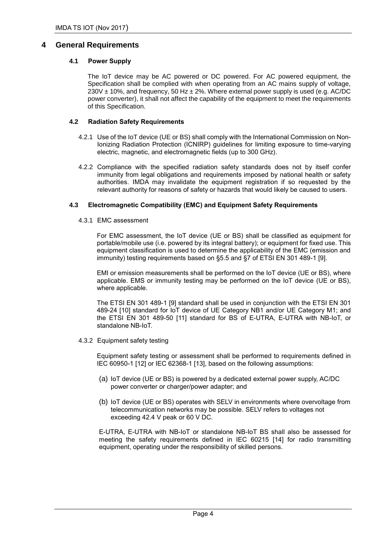### **4 General Requirements**

#### **4.1 Power Supply**

The IoT device may be AC powered or DC powered. For AC powered equipment, the Specification shall be complied with when operating from an AC mains supply of voltage,  $230V \pm 10\%$ , and frequency, 50 Hz  $\pm 2\%$ . Where external power supply is used (e.g. AC/DC power converter), it shall not affect the capability of the equipment to meet the requirements of this Specification.

#### **4.2 Radiation Safety Requirements**

- 4.2.1 Use of the IoT device (UE or BS) shall comply with the International Commission on Non-Ionizing Radiation Protection (ICNIRP) guidelines for limiting exposure to time-varying electric, magnetic, and electromagnetic fields (up to 300 GHz).
- 4.2.2 Compliance with the specified radiation safety standards does not by itself confer immunity from legal obligations and requirements imposed by national health or safety authorities. IMDA may invalidate the equipment registration if so requested by the relevant authority for reasons of safety or hazards that would likely be caused to users.

#### **4.3 Electromagnetic Compatibility (EMC) and Equipment Safety Requirements**

4.3.1 EMC assessment

For EMC assessment, the IoT device (UE or BS) shall be classified as equipment for portable/mobile use (i.e. powered by its integral battery); or equipment for fixed use. This equipment classification is used to determine the applicability of the EMC (emission and immunity) testing requirements based on §5.5 and §7 of ETSI EN 301 489-1 [9].

EMI or emission measurements shall be performed on the IoT device (UE or BS), where applicable. EMS or immunity testing may be performed on the IoT device (UE or BS), where applicable.

The ETSI EN 301 489-1 [9] standard shall be used in conjunction with the ETSI EN 301 489-24 [10] standard for IoT device of UE Category NB1 and/or UE Category M1; and the ETSI EN 301 489-50 [11] standard for BS of E-UTRA, E-UTRA with NB-IoT, or standalone NB-IoT.

4.3.2 Equipment safety testing

Equipment safety testing or assessment shall be performed to requirements defined in IEC 60950-1 [12] or IEC 62368-1 [13], based on the following assumptions:

- (a) IoT device (UE or BS) is powered by a dedicated external power supply, AC/DC power converter or charger/power adapter; and
- (b) IoT device (UE or BS) operates with SELV in environments where overvoltage from telecommunication networks may be possible. SELV refers to voltages not exceeding 42.4 V peak or 60 V DC.

E-UTRA, E-UTRA with NB-IoT or standalone NB-IoT BS shall also be assessed for meeting the safety requirements defined in IEC 60215 [14] for radio transmitting equipment, operating under the responsibility of skilled persons.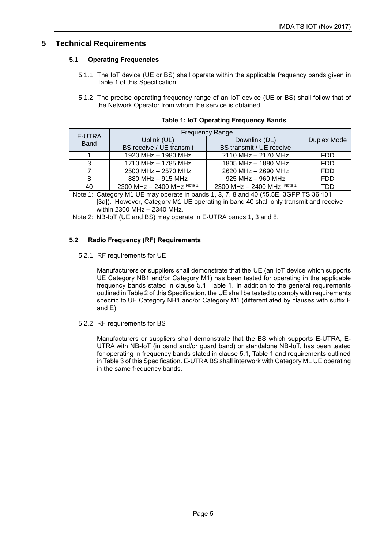## **5 Technical Requirements**

#### **5.1 Operating Frequencies**

- 5.1.1 The IoT device (UE or BS) shall operate within the applicable frequency bands given in Table 1 of this Specification.
- 5.1.2 The precise operating frequency range of an IoT device (UE or BS) shall follow that of the Network Operator from whom the service is obtained.

| E-UTRA                                                                                |                                                |                              |             |  |
|---------------------------------------------------------------------------------------|------------------------------------------------|------------------------------|-------------|--|
| <b>Band</b>                                                                           | Uplink (UL)                                    | Downlink (DL)                | Duplex Mode |  |
|                                                                                       | BS receive / UE transmit                       | BS transmit / UE receive     |             |  |
|                                                                                       | 1920 MHz - 1980 MHz                            | 2110 MHz - 2170 MHz          | FDD.        |  |
| 3                                                                                     | 1710 MHz - 1785 MHz                            | 1805 MHz - 1880 MHz          | FDD.        |  |
|                                                                                       | 2500 MHz - 2570 MHz                            | 2620 MHz - 2690 MHz          | FDD.        |  |
| 8                                                                                     | 925 MHz - 960 MHz<br>FDD.<br>880 MHz - 915 MHz |                              |             |  |
| 40                                                                                    | 2300 MHz $-$ 2400 MHz Note 1                   | 2300 MHz $-$ 2400 MHz Note 1 | TDD.        |  |
| Note 1: Category M1 UE may operate in bands 1, 3, 7, 8 and 40 (§5.5E, 3GPP TS 36.101) |                                                |                              |             |  |
| [3a]). However, Category M1 UE operating in band 40 shall only transmit and receive   |                                                |                              |             |  |
| within 2300 MHz - 2340 MHz.                                                           |                                                |                              |             |  |
| Note 2: NB-IoT (UE and BS) may operate in E-UTRA bands 1, 3 and 8.                    |                                                |                              |             |  |

| <b>Table 1: IoT Operating Frequency Bands</b> |
|-----------------------------------------------|
|-----------------------------------------------|

#### **5.2 Radio Frequency (RF) Requirements**

5.2.1 RF requirements for UE

Manufacturers or suppliers shall demonstrate that the UE (an IoT device which supports UE Category NB1 and/or Category M1) has been tested for operating in the applicable frequency bands stated in clause 5.1, Table 1. In addition to the general requirements outlined in Table 2 of this Specification, the UE shall be tested to comply with requirements specific to UE Category NB1 and/or Category M1 (differentiated by clauses with suffix F and E).

5.2.2 RF requirements for BS

Manufacturers or suppliers shall demonstrate that the BS which supports E-UTRA, E-UTRA with NB-IoT (in band and/or guard band) or standalone NB-IoT, has been tested for operating in frequency bands stated in clause 5.1, Table 1 and requirements outlined in Table 3 of this Specification. E-UTRA BS shall interwork with Category M1 UE operating in the same frequency bands.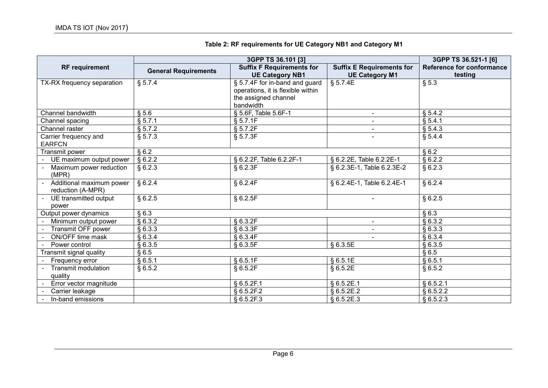|  | Table 2: RF requirements for UE Category NB1 and Category M1 |  |
|--|--------------------------------------------------------------|--|
|  |                                                              |  |

| 3GPP TS 36.101 [3]                     |                             |                                                            | 3GPP TS 36.521-1 [6]                                      |                                      |
|----------------------------------------|-----------------------------|------------------------------------------------------------|-----------------------------------------------------------|--------------------------------------|
| <b>RF</b> requirement                  | <b>General Requirements</b> | <b>Suffix F Requirements for</b><br><b>UE Category NB1</b> | <b>Suffix E Requirements for</b><br><b>UE Category M1</b> | Reference for conformance<br>testing |
| TX-RX frequency separation             | § 5.7.4                     | § 5.7.4F for in-band and guard                             | \$5.7.4E                                                  | § 5.3                                |
|                                        |                             | operations, it is flexible within                          |                                                           |                                      |
|                                        |                             | the assigned channel                                       |                                                           |                                      |
|                                        |                             | bandwidth                                                  |                                                           |                                      |
| Channel bandwidth                      | § 5.6                       | § 5.6F, Table 5.6F-1                                       |                                                           | § 5.4.2                              |
| Channel spacing                        | § 5.7.1                     | § 5.7.1F                                                   |                                                           | § 5.4.1                              |
| Channel raster                         | § 5.7.2                     | § 5.7.2F                                                   |                                                           | § 5.4.3                              |
| Carrier frequency and<br><b>EARFCN</b> | § 5.7.3                     | § 5.7.3F                                                   |                                                           | § 5.4.4                              |
| Transmit power                         | §6.2                        |                                                            |                                                           | \$6.2                                |
| UE maximum output power                | § 6.2.2                     | § 6.2.2F, Table 6.2.2F-1                                   | § 6.2.2E, Table 6.2.2E-1                                  | § 6.2.2                              |
| Maximum power reduction                | §6.2.3                      | $§$ 6.2.3F                                                 | § 6.2.3E-1, Table 6.2.3E-2                                | §6.2.3                               |
| (MPR)                                  |                             |                                                            |                                                           |                                      |
| Additional maximum power               | § 6.2.4                     | § 6.2.4F                                                   | § 6.2.4E-1, Table 6.2.4E-1                                | § 6.2.4                              |
| reduction (A-MPR)                      |                             |                                                            |                                                           |                                      |
| UE transmitted output                  | §6.2.5                      | § 6.2.5F                                                   |                                                           | §6.2.5                               |
| power                                  |                             |                                                            |                                                           |                                      |
| Output power dynamics                  | §6.3                        |                                                            |                                                           | §6.3                                 |
| Minimum output power                   | § 6.3.2                     | § 6.3.2F                                                   |                                                           | § 6.3.2                              |
| Transmit OFF power                     | §6.3.3                      | § 6.3.3F                                                   |                                                           | §6.3.3                               |
| ON/OFF time mask                       | § 6.3.4                     | § 6.3.4F                                                   |                                                           | §6.3.4                               |
| Power control                          | §6.3.5                      | § 6.3.5F                                                   | § 6.3.5E                                                  | §6.3.5                               |
| Transmit signal quality                | §6.5                        |                                                            |                                                           | §6.5                                 |
| Frequency error                        | §6.5.1                      | § 6.5.1F                                                   | § 6.5.1E                                                  | §6.5.1                               |
| <b>Transmit modulation</b>             | § 6.5.2                     | § 6.5.2F                                                   | § 6.5.2E                                                  | § 6.5.2                              |
| quality                                |                             |                                                            |                                                           |                                      |
| Error vector magnitude                 |                             | § 6.5.2F.1                                                 | § 6.5.2E.1                                                | § 6.5.2.1                            |
| Carrier leakage                        |                             | § 6.5.2F.2                                                 | § 6.5.2E.2                                                | § 6.5.2.2                            |
| In-band emissions                      |                             | \$6.5.2F.3                                                 | § 6.5.2E.3                                                | $§ 6.5.2.\overline{3}$               |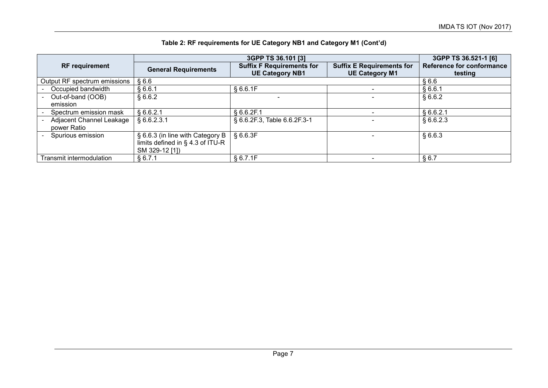|                                         | 3GPP TS 36.101 [3]                                                                     |                                                            |                                                           | 3GPP TS 36.521-1 [6]                 |
|-----------------------------------------|----------------------------------------------------------------------------------------|------------------------------------------------------------|-----------------------------------------------------------|--------------------------------------|
| <b>RF</b> requirement                   | <b>General Requirements</b>                                                            | <b>Suffix F Requirements for</b><br><b>UE Category NB1</b> | <b>Suffix E Requirements for</b><br><b>UE Category M1</b> | Reference for conformance<br>testing |
| Output RF spectrum emissions            | §6.6                                                                                   |                                                            |                                                           | §6.6                                 |
| Occupied bandwidth                      | §6.6.1                                                                                 | § 6.6.1F                                                   |                                                           | §6.6.1                               |
| Out-of-band (OOB)<br>emission           | § 6.6.2                                                                                |                                                            |                                                           | §6.6.2                               |
| Spectrum emission mask                  | § 6.6.2.1                                                                              | § 6.6.2F.1                                                 |                                                           | § 6.6.2.1                            |
| Adjacent Channel Leakage<br>power Ratio | § 6.6.2.3.1                                                                            | § 6.6.2F.3, Table 6.6.2F.3-1                               |                                                           | § 6.6.2.3                            |
| Spurious emission                       | § 6.6.3 (in line with Category B<br>limits defined in § 4.3 of ITU-R<br>SM 329-12 [1]) | § 6.6.3F                                                   |                                                           | §6.6.3                               |
| Transmit intermodulation                | § 6.7.1                                                                                | § 6.7.1F                                                   |                                                           | § 6.7                                |

## **Table 2: RF requirements for UE Category NB1 and Category M1 (Cont'd)**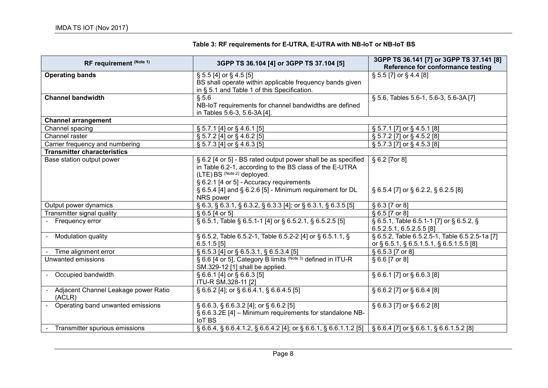| Table 3: RF requirements for E-UTRA, E-UTRA with NB-IoT or NB-IoT BS |  |  |
|----------------------------------------------------------------------|--|--|
|                                                                      |  |  |

| RF requirement (Note 1)                          | 3GPP TS 36.104 [4] or 3GPP TS 37.104 [5]                                                                                             | 3GPP TS 36.141 [7] or 3GPP TS 37.141 [8]<br>Reference for conformance testing |  |
|--------------------------------------------------|--------------------------------------------------------------------------------------------------------------------------------------|-------------------------------------------------------------------------------|--|
| <b>Operating bands</b>                           | $\S$ 5.5 [4] or $\S$ 4.5 [5]                                                                                                         | § 5.5 [7] or § 4.4 [8]                                                        |  |
|                                                  | BS shall operate within applicable frequency bands given                                                                             |                                                                               |  |
|                                                  | in § 5.1 and Table 1 of this Specification.                                                                                          |                                                                               |  |
| <b>Channel bandwidth</b>                         | § 5.6                                                                                                                                | § 5.6, Tables 5.6-1, 5.6-3, 5.6-3A [7]                                        |  |
|                                                  | NB-IoT requirements for channel bandwidths are defined                                                                               |                                                                               |  |
|                                                  | in Tables 5.6-3, 5.6-3A [4].                                                                                                         |                                                                               |  |
| <b>Channel arrangement</b>                       |                                                                                                                                      |                                                                               |  |
| Channel spacing                                  | § 5.7.1 [4] or § 4.6.1 [5]                                                                                                           | $\S$ 5.7.1 [7] or $\S$ 4.5.1 [8]                                              |  |
| Channel raster                                   | $\S$ 5.7.2 [4] or $\S$ 4.6.2 [5]                                                                                                     | $\S$ 5.7.2 [7] or $\S$ 4.5.2 [8]                                              |  |
| Carrier frequency and numbering                  | § 5.7.3 [4] or § 4.6.3 [5]                                                                                                           | § 5.7.3 [7] or § 4.5.3 [8]                                                    |  |
| <b>Transmitter characteristics</b>               |                                                                                                                                      |                                                                               |  |
| Base station output power                        | § 6.2 [4 or 5] - BS rated output power shall be as specified                                                                         | § 6.2 [7 or 8]                                                                |  |
|                                                  | in Table 6.2-1, according to the BS class of the E-UTRA                                                                              |                                                                               |  |
|                                                  | (LTE) BS (Note 2) deployed.                                                                                                          |                                                                               |  |
|                                                  | § 6.2.1 [4 or 5] - Accuracy requirements                                                                                             |                                                                               |  |
|                                                  | § 6.5.4 [4] and § 6.2.6 [5] - Minimum requirement for DL                                                                             | § 6.5.4 [7] or § 6.2.2, § 6.2.5 [8]                                           |  |
|                                                  | NRS power                                                                                                                            |                                                                               |  |
| Output power dynamics                            | $\overline{\S 6.3, \S 6.3.1, \S 6.3.2, \S 6.3.3 [4]}$ ; or $\S 6.3.1, \S 6.3.5 [5]$                                                  | § 6.3 [7 or 8]                                                                |  |
| Transmitter signal quality                       | § 6.5 [4 or 5]                                                                                                                       | § 6.5 [7 or 8]                                                                |  |
| - Frequency error                                | § 6.5.1, Table § 6.5.1-1 [4] or § 6.5.2.1, § 6.5.2.5 [5]                                                                             | § 6.5.1, Table 6.5.1-1 [7] or § 6.5.2, §                                      |  |
|                                                  |                                                                                                                                      | 6.5.2.5.1, 6.5.2.5.5 [8]                                                      |  |
| - Modulation quality                             | § 6.5.2, Table 6.5.2-1, Table 6.5.2-2 [4] or § 6.5.1.1, §                                                                            | § 6.5.2, Table 6.5.2.5-1, Table 6.5.2.5-1a [7]                                |  |
|                                                  | $6.5.1.5$ [5]                                                                                                                        | or § 6.5.1, § 6.5.1.5.1, § 6.5.1.5.5 [8]                                      |  |
| Time alignment error                             | § 6.5.3 [4] or § 6.5.3.1, § 6.5.3.4 [5]                                                                                              | § 6.5.3 [7 or 8]                                                              |  |
| Unwanted emissions                               | § 6.6 [4 or 5], Category B limits (Note 3) defined in ITU-R                                                                          | § 6.6 [7 or 8]                                                                |  |
|                                                  | SM.329-12 [1] shall be applied.                                                                                                      |                                                                               |  |
| - Occupied bandwidth                             | $\S 6.6.1$ [4] or $\S 6.6.3$ [5]                                                                                                     | § 6.6.1 [7] or § 6.6.3 [8]                                                    |  |
|                                                  | ITU-R SM.328-11 [2]                                                                                                                  |                                                                               |  |
| - Adjacent Channel Leakage power Ratio<br>(ACLR) | $\S 6.6.2$ [4]; or $\S 6.6.4.1$ , $\S 6.6.4.5$ [5]                                                                                   | $\S 6.6.2$ [7] or $\S 6.6.4$ [8]                                              |  |
| - Operating band unwanted emissions              | § 6.6.3, § 6.6.3.2 [4]; or § 6.6.2 [5]                                                                                               | § 6.6.3 [7] or § 6.6.2 [8]                                                    |  |
|                                                  | § 6.6.3.2E [4] - Minimum requirements for standalone NB-                                                                             |                                                                               |  |
|                                                  | IoT BS                                                                                                                               |                                                                               |  |
| Transmitter spurious emissions                   | $\S 6.6.4$ , $\S 6.6.4.1.2$ , $\S 6.6.4.2$ [4]; or $\S 6.6.1$ , $\S 6.6.1.1.2$ [5] $\S 6.6.4$ [7] or $\S 6.6.1$ , $\S 6.6.1.5.2$ [8] |                                                                               |  |